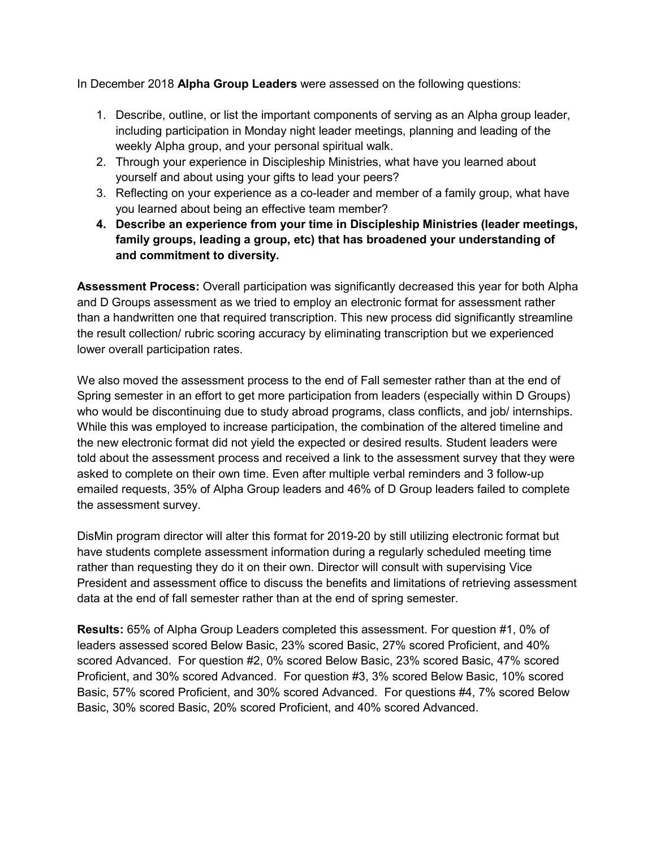In December 2018 **Alpha Group Leaders** were assessed on the following questions:

- 1. Describe, outline, or list the important components of serving as an Alpha group leader, including participation in Monday night leader meetings, planning and leading of the weekly Alpha group, and your personal spiritual walk.
- 2. Through your experience in Discipleship Ministries, what have you learned about yourself and about using your gifts to lead your peers?
- 3. Reflecting on your experience as a co-leader and member of a family group, what have you learned about being an effective team member?
- **4. Describe an experience from your time in Discipleship Ministries (leader meetings, family groups, leading a group, etc) that has broadened your understanding of and commitment to diversity.**

**Assessment Process:** Overall participation was significantly decreased this year for both Alpha and D Groups assessment as we tried to employ an electronic format for assessment rather than a handwritten one that required transcription. This new process did significantly streamline the result collection/ rubric scoring accuracy by eliminating transcription but we experienced lower overall participation rates.

We also moved the assessment process to the end of Fall semester rather than at the end of Spring semester in an effort to get more participation from leaders (especially within D Groups) who would be discontinuing due to study abroad programs, class conflicts, and job/ internships. While this was employed to increase participation, the combination of the altered timeline and the new electronic format did not yield the expected or desired results. Student leaders were told about the assessment process and received a link to the assessment survey that they were asked to complete on their own time. Even after multiple verbal reminders and 3 follow-up emailed requests, 35% of Alpha Group leaders and 46% of D Group leaders failed to complete the assessment survey.

DisMin program director will alter this format for 2019-20 by still utilizing electronic format but have students complete assessment information during a regularly scheduled meeting time rather than requesting they do it on their own. Director will consult with supervising Vice President and assessment office to discuss the benefits and limitations of retrieving assessment data at the end of fall semester rather than at the end of spring semester.

**Results:** 65% of Alpha Group Leaders completed this assessment. For question #1, 0% of leaders assessed scored Below Basic, 23% scored Basic, 27% scored Proficient, and 40% scored Advanced. For question #2, 0% scored Below Basic, 23% scored Basic, 47% scored Proficient, and 30% scored Advanced. For question #3, 3% scored Below Basic, 10% scored Basic, 57% scored Proficient, and 30% scored Advanced. For questions #4, 7% scored Below Basic, 30% scored Basic, 20% scored Proficient, and 40% scored Advanced.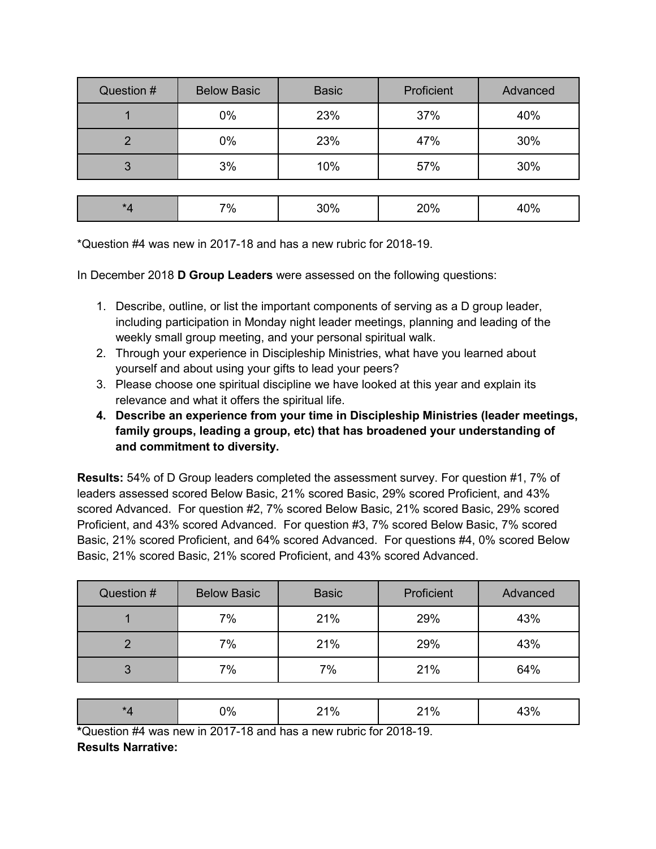| Question #          | <b>Below Basic</b> | <b>Basic</b> | Proficient | Advanced |
|---------------------|--------------------|--------------|------------|----------|
|                     | 0%                 | 23%          | 37%        | 40%      |
| $\mathcal{P}$       | 0%                 | 23%          | 47%        | 30%      |
| 3                   | 3%                 | 10%          | 57%        | 30%      |
|                     |                    |              |            |          |
| $^{\star}$ $\Delta$ | 7%                 | 30%          | 20%        | 40%      |

\*Question #4 was new in 2017-18 and has a new rubric for 2018-19.

In December 2018 **D Group Leaders** were assessed on the following questions:

- 1. Describe, outline, or list the important components of serving as a D group leader, including participation in Monday night leader meetings, planning and leading of the weekly small group meeting, and your personal spiritual walk.
- 2. Through your experience in Discipleship Ministries, what have you learned about yourself and about using your gifts to lead your peers?
- 3. Please choose one spiritual discipline we have looked at this year and explain its relevance and what it offers the spiritual life.
- **4. Describe an experience from your time in Discipleship Ministries (leader meetings, family groups, leading a group, etc) that has broadened your understanding of and commitment to diversity.**

**Results:** 54% of D Group leaders completed the assessment survey. For question #1, 7% of leaders assessed scored Below Basic, 21% scored Basic, 29% scored Proficient, and 43% scored Advanced. For question #2, 7% scored Below Basic, 21% scored Basic, 29% scored Proficient, and 43% scored Advanced. For question #3, 7% scored Below Basic, 7% scored Basic, 21% scored Proficient, and 64% scored Advanced. For questions #4, 0% scored Below Basic, 21% scored Basic, 21% scored Proficient, and 43% scored Advanced.

| Question # | <b>Below Basic</b> | <b>Basic</b> | Proficient | Advanced |
|------------|--------------------|--------------|------------|----------|
|            | 7%                 | 21%          | 29%        | 43%      |
|            | 7%                 | 21%          | 29%        | 43%      |
| 3          | 7%                 | 7%           | 21%        | 64%      |

|  | ጋ% | 21% | `1% |  |  |  |
|--|----|-----|-----|--|--|--|
|  |    |     |     |  |  |  |

**\***Question #4 was new in 2017-18 and has a new rubric for 2018-19. **Results Narrative:**